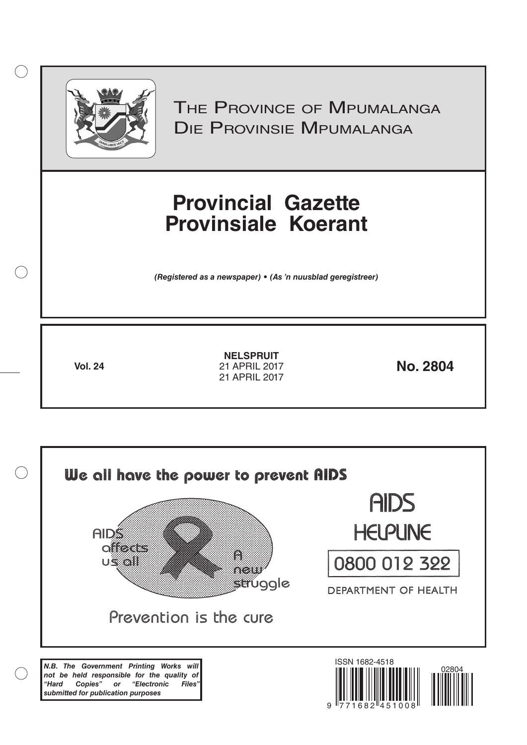

 $( )$ 

THE PROVINCE OF MPUMALANGA Die Provinsie Mpumalanga

# **Provincial Gazette Provinsiale Koerant**

*(Registered as a newspaper) • (As 'n nuusblad geregistreer)*

**Vol. 24 No. 2804** 21 APRIL 2017 **NELSPRUIT** 21 APRIL 2017

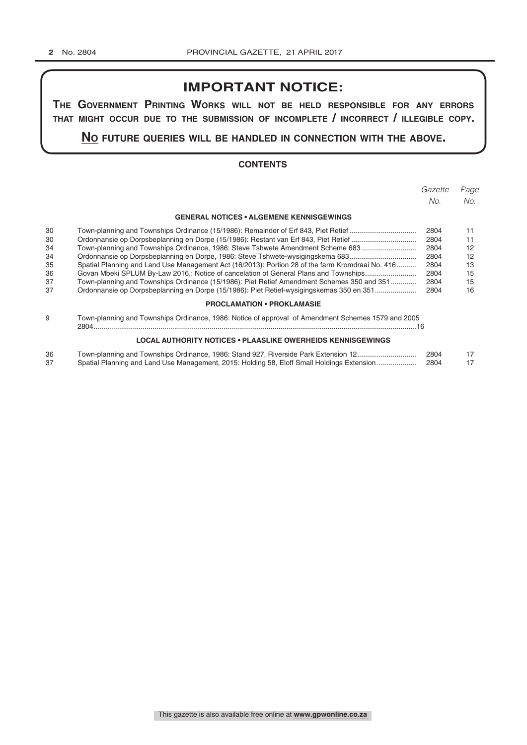## **IMPORTANT NOTICE:**

**The GovernmenT PrinTinG Works Will noT be held resPonsible for any errors ThaT miGhT occur due To The submission of incomPleTe / incorrecT / illeGible coPy.**

**no fuTure queries Will be handled in connecTion WiTh The above.**

## **CONTENTS**

|    |                                                                                                    | Gazette | Page |
|----|----------------------------------------------------------------------------------------------------|---------|------|
|    |                                                                                                    | No.     | No.  |
|    | <b>GENERAL NOTICES • ALGEMENE KENNISGEWINGS</b>                                                    |         |      |
| 30 | Town-planning and Townships Ordinance (15/1986): Remainder of Erf 843, Piet Retief                 | 2804    | 11   |
| 30 |                                                                                                    | 2804    | 11   |
| 34 | Town-planning and Townships Ordinance, 1986: Steve Tshwete Amendment Scheme 683                    | 2804    | 12   |
| 34 | Ordonnansie op Dorpsbeplanning en Dorpe, 1986: Steve Tshwete-wysigingskema 683                     | 2804    | 12   |
| 35 | Spatial Planning and Land Use Management Act (16/2013): Portion 28 of the farm Kromdraai No. 416   | 2804    | 13   |
| 36 | Govan Mbeki SPLUM By-Law 2016,: Notice of cancelation of General Plans and Townships               | 2804    | 15   |
| 37 | Town-planning and Townships Ordinance (15/1986): Piet Retief Amendment Schemes 350 and 351         | 2804    | 15   |
| 37 | Ordonnansie op Dorpsbeplanning en Dorpe (15/1986): Piet Retief-wysigingskemas 350 en 351           | 2804    | 16   |
|    | <b>PROCLAMATION • PROKLAMASIE</b>                                                                  |         |      |
| 9  | Town-planning and Townships Ordinance, 1986: Notice of approval of Amendment Schemes 1579 and 2005 |         |      |

#### **LOCAL AUTHORITY NOTICES • PLAASLIKE OWERHEIDS KENNISGEWINGS**

| 36 |                                                                                            |      |  |
|----|--------------------------------------------------------------------------------------------|------|--|
| 37 | Spatial Planning and Land Use Management, 2015: Holding 58, Eloff Small Holdings Extension | 2804 |  |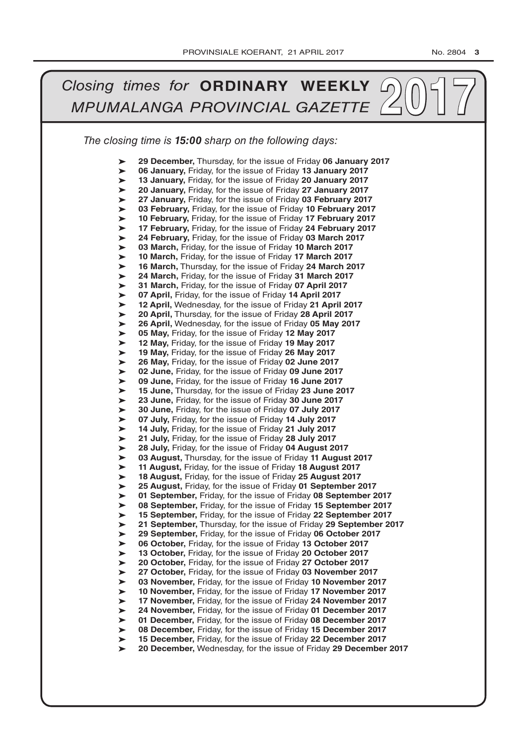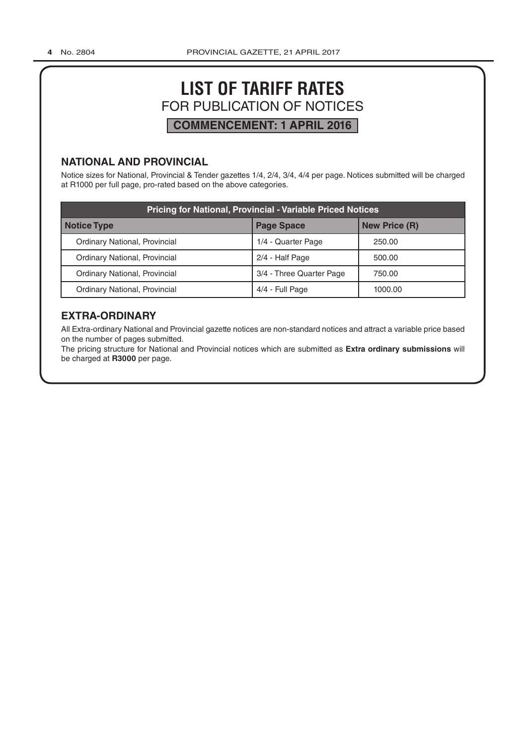## **LIST OF TARIFF RATES** FOR PUBLICATION OF NOTICES **COMMENCEMENT: 1 APRIL 2016**

## **NATIONAL AND PROVINCIAL**

Notice sizes for National, Provincial & Tender gazettes 1/4, 2/4, 3/4, 4/4 per page. Notices submitted will be charged at R1000 per full page, pro-rated based on the above categories.

| <b>Pricing for National, Provincial - Variable Priced Notices</b> |                          |         |  |
|-------------------------------------------------------------------|--------------------------|---------|--|
| <b>Notice Type</b>                                                | <b>New Price (R)</b>     |         |  |
| Ordinary National, Provincial                                     | 1/4 - Quarter Page       | 250.00  |  |
| Ordinary National, Provincial                                     | 2/4 - Half Page          | 500.00  |  |
| Ordinary National, Provincial                                     | 3/4 - Three Quarter Page | 750.00  |  |
| Ordinary National, Provincial                                     | 4/4 - Full Page          | 1000.00 |  |

## **EXTRA-ORDINARY**

All Extra-ordinary National and Provincial gazette notices are non-standard notices and attract a variable price based on the number of pages submitted.

The pricing structure for National and Provincial notices which are submitted as **Extra ordinary submissions** will be charged at **R3000** per page.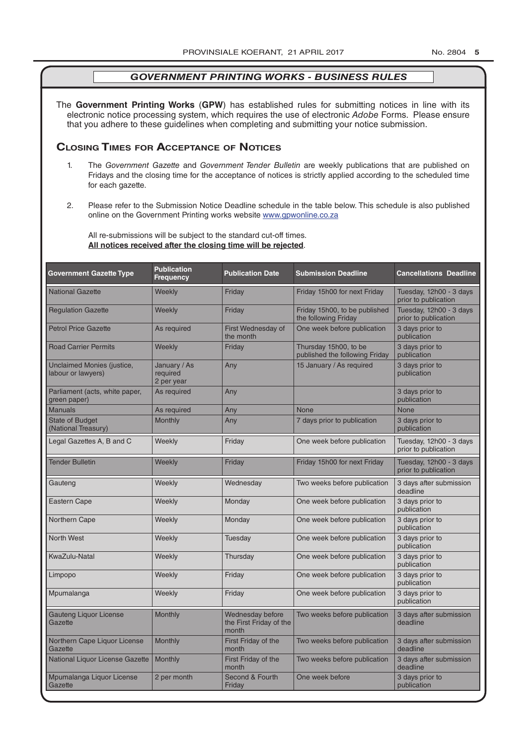The **Government Printing Works** (**GPW**) has established rules for submitting notices in line with its electronic notice processing system, which requires the use of electronic *Adobe* Forms. Please ensure that you adhere to these guidelines when completing and submitting your notice submission.

## **Closing Times for ACCepTAnCe of noTiCes**

- 1. The *Government Gazette* and *Government Tender Bulletin* are weekly publications that are published on Fridays and the closing time for the acceptance of notices is strictly applied according to the scheduled time for each gazette.
- 2. Please refer to the Submission Notice Deadline schedule in the table below. This schedule is also published online on the Government Printing works website www.gpwonline.co.za

All re-submissions will be subject to the standard cut-off times. **All notices received after the closing time will be rejected**.

| <b>Government Gazette Type</b>                   | <b>Publication</b><br><b>Frequency</b> | <b>Publication Date</b>                              | <b>Submission Deadline</b>                              | <b>Cancellations Deadline</b>                   |
|--------------------------------------------------|----------------------------------------|------------------------------------------------------|---------------------------------------------------------|-------------------------------------------------|
| <b>National Gazette</b>                          | Weekly                                 | Friday                                               | Friday 15h00 for next Friday                            | Tuesday, 12h00 - 3 days<br>prior to publication |
| <b>Regulation Gazette</b>                        | Weekly                                 | Friday                                               | Friday 15h00, to be published<br>the following Friday   | Tuesday, 12h00 - 3 days<br>prior to publication |
| <b>Petrol Price Gazette</b>                      | As required                            | First Wednesday of<br>the month                      | One week before publication                             | 3 days prior to<br>publication                  |
| <b>Road Carrier Permits</b>                      | Weekly                                 | Friday                                               | Thursday 15h00, to be<br>published the following Friday | 3 days prior to<br>publication                  |
| Unclaimed Monies (justice,<br>labour or lawyers) | January / As<br>required<br>2 per year | Any                                                  | 15 January / As required                                | 3 days prior to<br>publication                  |
| Parliament (acts, white paper,<br>green paper)   | As required                            | Any                                                  |                                                         | 3 days prior to<br>publication                  |
| <b>Manuals</b>                                   | As required                            | Any                                                  | <b>None</b>                                             | <b>None</b>                                     |
| <b>State of Budget</b><br>(National Treasury)    | <b>Monthly</b>                         | Any                                                  | 7 days prior to publication                             | 3 days prior to<br>publication                  |
| Legal Gazettes A, B and C                        | Weekly                                 | Friday                                               | One week before publication                             | Tuesday, 12h00 - 3 days<br>prior to publication |
| <b>Tender Bulletin</b>                           | Weekly                                 | Friday                                               | Friday 15h00 for next Friday                            | Tuesday, 12h00 - 3 days<br>prior to publication |
| Gauteng                                          | Weekly                                 | Wednesday                                            | Two weeks before publication                            | 3 days after submission<br>deadline             |
| Eastern Cape                                     | Weekly                                 | Monday                                               | One week before publication                             | 3 days prior to<br>publication                  |
| Northern Cape                                    | Weekly                                 | Monday                                               | One week before publication                             | 3 days prior to<br>publication                  |
| <b>North West</b>                                | Weekly                                 | Tuesday                                              | One week before publication                             | 3 days prior to<br>publication                  |
| KwaZulu-Natal                                    | Weekly                                 | Thursday                                             | One week before publication                             | 3 days prior to<br>publication                  |
| Limpopo                                          | Weekly                                 | Friday                                               | One week before publication                             | 3 days prior to<br>publication                  |
| Mpumalanga                                       | Weekly                                 | Friday                                               | One week before publication                             | 3 days prior to<br>publication                  |
| <b>Gauteng Liquor License</b><br>Gazette         | Monthly                                | Wednesday before<br>the First Friday of the<br>month | Two weeks before publication                            | 3 days after submission<br>deadline             |
| Northern Cape Liquor License<br>Gazette          | Monthly                                | First Friday of the<br>month                         | Two weeks before publication                            | 3 days after submission<br>deadline             |
| National Liquor License Gazette                  | Monthly                                | First Friday of the<br>month                         | Two weeks before publication                            | 3 days after submission<br>deadline             |
| Mpumalanga Liquor License<br>Gazette             | 2 per month                            | Second & Fourth<br>Friday                            | One week before                                         | 3 days prior to<br>publication                  |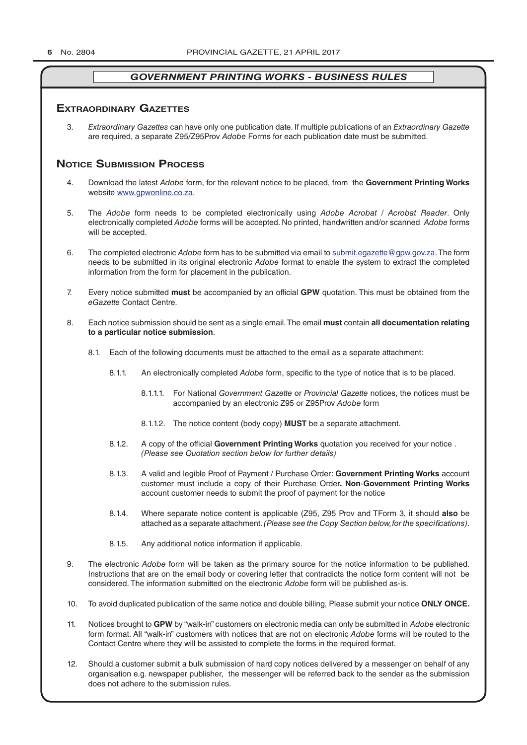### **exTrAordinAry gAzeTTes**

3. *Extraordinary Gazettes* can have only one publication date. If multiple publications of an *Extraordinary Gazette* are required, a separate Z95/Z95Prov *Adobe* Forms for each publication date must be submitted.

## **NOTICE SUBMISSION PROCESS**

- 4. Download the latest *Adobe* form, for the relevant notice to be placed, from the **Government Printing Works** website www.gpwonline.co.za.
- 5. The *Adobe* form needs to be completed electronically using *Adobe Acrobat* / *Acrobat Reader*. Only electronically completed *Adobe* forms will be accepted. No printed, handwritten and/or scanned *Adobe* forms will be accepted.
- 6. The completed electronic *Adobe* form has to be submitted via email to submit.egazette@gpw.gov.za. The form needs to be submitted in its original electronic *Adobe* format to enable the system to extract the completed information from the form for placement in the publication.
- 7. Every notice submitted **must** be accompanied by an official **GPW** quotation. This must be obtained from the *eGazette* Contact Centre.
- 8. Each notice submission should be sent as a single email. The email **must** contain **all documentation relating to a particular notice submission**.
	- 8.1. Each of the following documents must be attached to the email as a separate attachment:
		- 8.1.1. An electronically completed *Adobe* form, specific to the type of notice that is to be placed.
			- 8.1.1.1. For National *Government Gazette* or *Provincial Gazette* notices, the notices must be accompanied by an electronic Z95 or Z95Prov *Adobe* form
			- 8.1.1.2. The notice content (body copy) **MUST** be a separate attachment.
		- 8.1.2. A copy of the official **Government Printing Works** quotation you received for your notice . *(Please see Quotation section below for further details)*
		- 8.1.3. A valid and legible Proof of Payment / Purchase Order: **Government Printing Works** account customer must include a copy of their Purchase Order*.* **Non**-**Government Printing Works** account customer needs to submit the proof of payment for the notice
		- 8.1.4. Where separate notice content is applicable (Z95, Z95 Prov and TForm 3, it should **also** be attached as a separate attachment. *(Please see the Copy Section below, for the specifications)*.
		- 8.1.5. Any additional notice information if applicable.
- 9. The electronic *Adobe* form will be taken as the primary source for the notice information to be published. Instructions that are on the email body or covering letter that contradicts the notice form content will not be considered. The information submitted on the electronic *Adobe* form will be published as-is.
- 10. To avoid duplicated publication of the same notice and double billing, Please submit your notice **ONLY ONCE.**
- 11. Notices brought to **GPW** by "walk-in" customers on electronic media can only be submitted in *Adobe* electronic form format. All "walk-in" customers with notices that are not on electronic *Adobe* forms will be routed to the Contact Centre where they will be assisted to complete the forms in the required format.
- 12. Should a customer submit a bulk submission of hard copy notices delivered by a messenger on behalf of any organisation e.g. newspaper publisher, the messenger will be referred back to the sender as the submission does not adhere to the submission rules.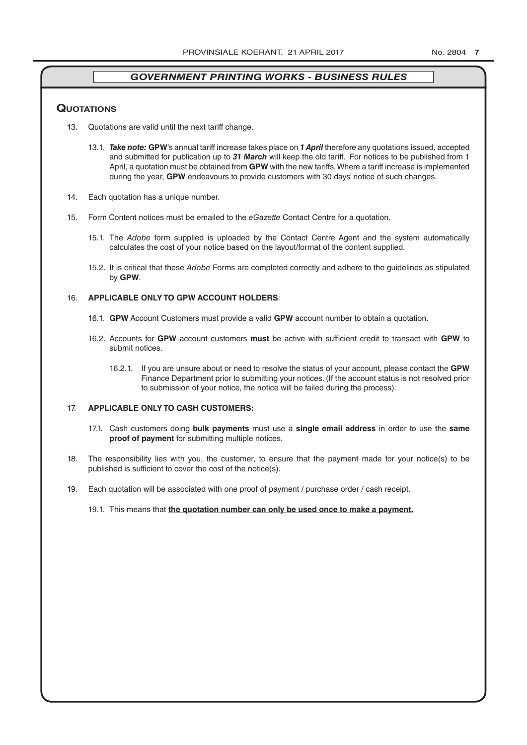#### **QuoTATions**

- 13. Quotations are valid until the next tariff change.
	- 13.1. *Take note:* **GPW**'s annual tariff increase takes place on *1 April* therefore any quotations issued, accepted and submitted for publication up to *31 March* will keep the old tariff. For notices to be published from 1 April, a quotation must be obtained from **GPW** with the new tariffs. Where a tariff increase is implemented during the year, **GPW** endeavours to provide customers with 30 days' notice of such changes.
- 14. Each quotation has a unique number.
- 15. Form Content notices must be emailed to the *eGazette* Contact Centre for a quotation.
	- 15.1. The *Adobe* form supplied is uploaded by the Contact Centre Agent and the system automatically calculates the cost of your notice based on the layout/format of the content supplied.
	- 15.2. It is critical that these *Adobe* Forms are completed correctly and adhere to the guidelines as stipulated by **GPW**.

#### 16. **APPLICABLE ONLY TO GPW ACCOUNT HOLDERS**:

- 16.1. **GPW** Account Customers must provide a valid **GPW** account number to obtain a quotation.
- 16.2. Accounts for **GPW** account customers **must** be active with sufficient credit to transact with **GPW** to submit notices.
	- 16.2.1. If you are unsure about or need to resolve the status of your account, please contact the **GPW** Finance Department prior to submitting your notices. (If the account status is not resolved prior to submission of your notice, the notice will be failed during the process).

#### 17. **APPLICABLE ONLY TO CASH CUSTOMERS:**

- 17.1. Cash customers doing **bulk payments** must use a **single email address** in order to use the **same proof of payment** for submitting multiple notices.
- 18. The responsibility lies with you, the customer, to ensure that the payment made for your notice(s) to be published is sufficient to cover the cost of the notice(s).
- 19. Each quotation will be associated with one proof of payment / purchase order / cash receipt.
	- 19.1. This means that **the quotation number can only be used once to make a payment.**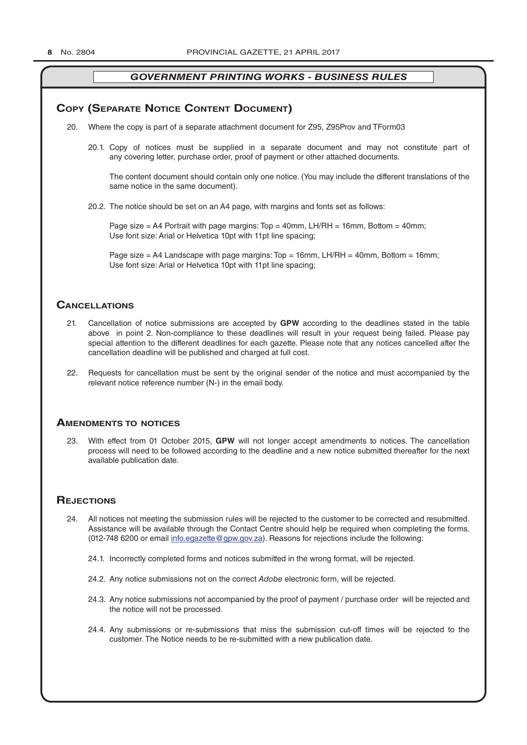## **COPY (SEPARATE NOTICE CONTENT DOCUMENT)**

- 20. Where the copy is part of a separate attachment document for Z95, Z95Prov and TForm03
	- 20.1. Copy of notices must be supplied in a separate document and may not constitute part of any covering letter, purchase order, proof of payment or other attached documents.

The content document should contain only one notice. (You may include the different translations of the same notice in the same document).

20.2. The notice should be set on an A4 page, with margins and fonts set as follows:

Page size  $=$  A4 Portrait with page margins: Top  $=$  40mm, LH/RH  $=$  16mm, Bottom  $=$  40mm; Use font size: Arial or Helvetica 10pt with 11pt line spacing;

Page size = A4 Landscape with page margins: Top = 16mm, LH/RH = 40mm, Bottom = 16mm; Use font size: Arial or Helvetica 10pt with 11pt line spacing;

## **CAnCellATions**

- 21. Cancellation of notice submissions are accepted by **GPW** according to the deadlines stated in the table above in point 2. Non-compliance to these deadlines will result in your request being failed. Please pay special attention to the different deadlines for each gazette. Please note that any notices cancelled after the cancellation deadline will be published and charged at full cost.
- 22. Requests for cancellation must be sent by the original sender of the notice and must accompanied by the relevant notice reference number (N-) in the email body.

## **AmendmenTs To noTiCes**

23. With effect from 01 October 2015, **GPW** will not longer accept amendments to notices. The cancellation process will need to be followed according to the deadline and a new notice submitted thereafter for the next available publication date.

## **REJECTIONS**

- 24. All notices not meeting the submission rules will be rejected to the customer to be corrected and resubmitted. Assistance will be available through the Contact Centre should help be required when completing the forms. (012-748 6200 or email info.egazette@gpw.gov.za). Reasons for rejections include the following:
	- 24.1. Incorrectly completed forms and notices submitted in the wrong format, will be rejected.
	- 24.2. Any notice submissions not on the correct *Adobe* electronic form, will be rejected.
	- 24.3. Any notice submissions not accompanied by the proof of payment / purchase order will be rejected and the notice will not be processed.
	- 24.4. Any submissions or re-submissions that miss the submission cut-off times will be rejected to the customer. The Notice needs to be re-submitted with a new publication date.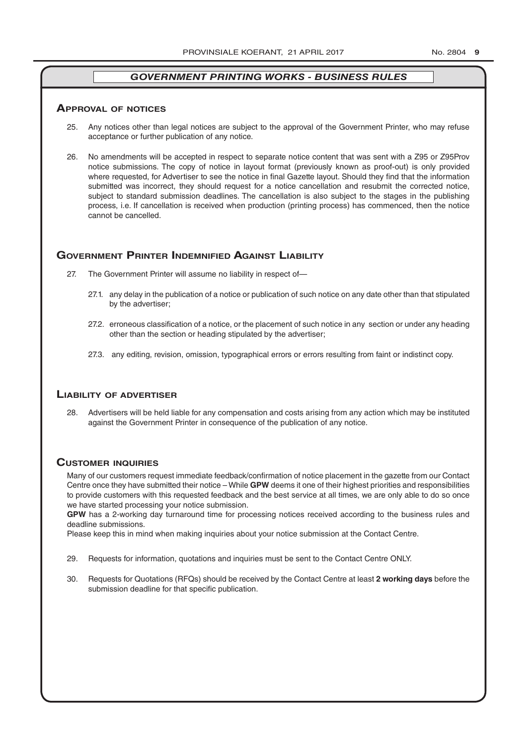#### **ApprovAl of noTiCes**

- 25. Any notices other than legal notices are subject to the approval of the Government Printer, who may refuse acceptance or further publication of any notice.
- 26. No amendments will be accepted in respect to separate notice content that was sent with a Z95 or Z95Prov notice submissions. The copy of notice in layout format (previously known as proof-out) is only provided where requested, for Advertiser to see the notice in final Gazette layout. Should they find that the information submitted was incorrect, they should request for a notice cancellation and resubmit the corrected notice, subject to standard submission deadlines. The cancellation is also subject to the stages in the publishing process, i.e. If cancellation is received when production (printing process) has commenced, then the notice cannot be cancelled.

## **governmenT prinTer indemnified AgAinsT liAbiliTy**

- 27. The Government Printer will assume no liability in respect of—
	- 27.1. any delay in the publication of a notice or publication of such notice on any date other than that stipulated by the advertiser;
	- 27.2. erroneous classification of a notice, or the placement of such notice in any section or under any heading other than the section or heading stipulated by the advertiser;
	- 27.3. any editing, revision, omission, typographical errors or errors resulting from faint or indistinct copy.

#### **liAbiliTy of AdverTiser**

28. Advertisers will be held liable for any compensation and costs arising from any action which may be instituted against the Government Printer in consequence of the publication of any notice.

## **CusTomer inQuiries**

Many of our customers request immediate feedback/confirmation of notice placement in the gazette from our Contact Centre once they have submitted their notice – While **GPW** deems it one of their highest priorities and responsibilities to provide customers with this requested feedback and the best service at all times, we are only able to do so once we have started processing your notice submission.

**GPW** has a 2-working day turnaround time for processing notices received according to the business rules and deadline submissions.

Please keep this in mind when making inquiries about your notice submission at the Contact Centre.

- 29. Requests for information, quotations and inquiries must be sent to the Contact Centre ONLY.
- 30. Requests for Quotations (RFQs) should be received by the Contact Centre at least **2 working days** before the submission deadline for that specific publication.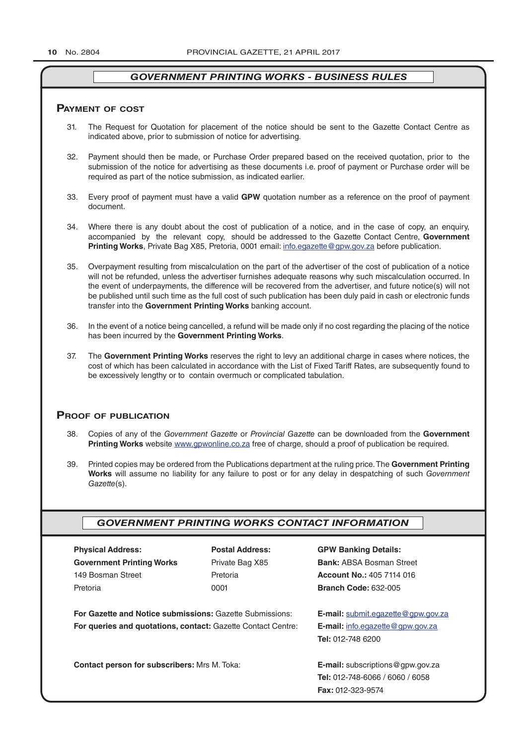#### **pAymenT of CosT**

- 31. The Request for Quotation for placement of the notice should be sent to the Gazette Contact Centre as indicated above, prior to submission of notice for advertising.
- 32. Payment should then be made, or Purchase Order prepared based on the received quotation, prior to the submission of the notice for advertising as these documents i.e. proof of payment or Purchase order will be required as part of the notice submission, as indicated earlier.
- 33. Every proof of payment must have a valid **GPW** quotation number as a reference on the proof of payment document.
- 34. Where there is any doubt about the cost of publication of a notice, and in the case of copy, an enquiry, accompanied by the relevant copy, should be addressed to the Gazette Contact Centre, **Government Printing Works**, Private Bag X85, Pretoria, 0001 email: info.egazette@gpw.gov.za before publication.
- 35. Overpayment resulting from miscalculation on the part of the advertiser of the cost of publication of a notice will not be refunded, unless the advertiser furnishes adequate reasons why such miscalculation occurred. In the event of underpayments, the difference will be recovered from the advertiser, and future notice(s) will not be published until such time as the full cost of such publication has been duly paid in cash or electronic funds transfer into the **Government Printing Works** banking account.
- 36. In the event of a notice being cancelled, a refund will be made only if no cost regarding the placing of the notice has been incurred by the **Government Printing Works**.
- 37. The **Government Printing Works** reserves the right to levy an additional charge in cases where notices, the cost of which has been calculated in accordance with the List of Fixed Tariff Rates, are subsequently found to be excessively lengthy or to contain overmuch or complicated tabulation.

### **proof of publiCATion**

- 38. Copies of any of the *Government Gazette* or *Provincial Gazette* can be downloaded from the **Government Printing Works** website www.gpwonline.co.za free of charge, should a proof of publication be required.
- 39. Printed copies may be ordered from the Publications department at the ruling price. The **Government Printing Works** will assume no liability for any failure to post or for any delay in despatching of such *Government Gazette*(s).

### *GOVERNMENT PRINTING WORKS CONTACT INFORMATION*

| <b>Physical Address:</b>                                            | <b>Postal Address:</b> | <b>GPW Banking Details:</b>                 |
|---------------------------------------------------------------------|------------------------|---------------------------------------------|
| <b>Government Printing Works</b>                                    | Private Bag X85        | <b>Bank: ABSA Bosman Street</b>             |
| 149 Bosman Street                                                   | Pretoria               | <b>Account No.: 405 7114 016</b>            |
| Pretoria                                                            | 0001                   | <b>Branch Code: 632-005</b>                 |
| For Gazette and Notice submissions: Gazette Submissions:            |                        | <b>E-mail:</b> submit.eqazette@gpw.gov.za   |
| <b>For queries and quotations, contact: Gazette Contact Centre:</b> |                        | E-mail: info.egazette@gpw.gov.za            |
|                                                                     |                        | <b>Tel: 012-748 6200</b>                    |
| <b>Contact person for subscribers: Mrs M. Toka:</b>                 |                        | <b>E-mail:</b> subscriptions $@$ gpw.gov.za |
|                                                                     |                        | <b>Tel: 012-748-6066 / 6060 / 6058</b>      |
|                                                                     |                        | <b>Fax: 012-323-9574</b>                    |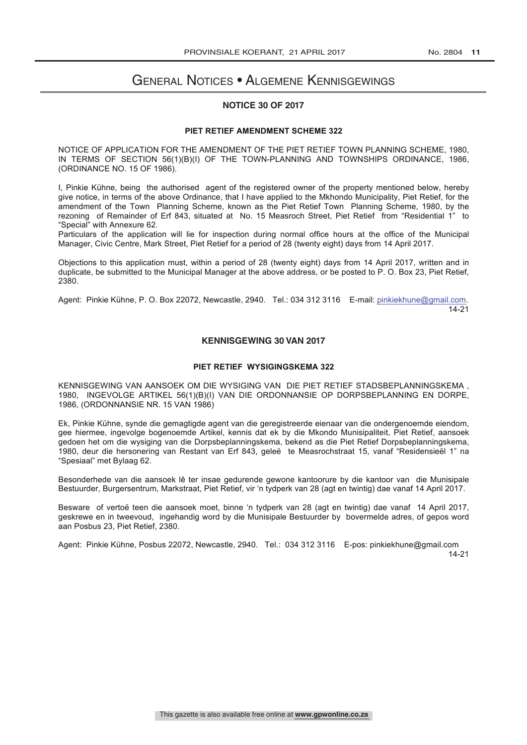## General Notices • Algemene Kennisgewings

#### **NOTICE 30 OF 2017**

#### **PIET RETIEF AMENDMENT SCHEME 322**

NOTICE OF APPLICATION FOR THE AMENDMENT OF THE PIET RETIEF TOWN PLANNING SCHEME, 1980, IN TERMS OF SECTION 56(1)(B)(I) OF THE TOWN-PLANNING AND TOWNSHIPS ORDINANCE, 1986, (ORDINANCE NO. 15 OF 1986).

I, Pinkie Kühne, being the authorised agent of the registered owner of the property mentioned below, hereby give notice, in terms of the above Ordinance, that I have applied to the Mkhondo Municipality, Piet Retief, for the amendment of the Town Planning Scheme, known as the Piet Retief Town Planning Scheme, 1980, by the rezoning of Remainder of Erf 843, situated at No. 15 Measroch Street, Piet Retief from "Residential 1" to "Special" with Annexure 62.

Particulars of the application will lie for inspection during normal office hours at the office of the Municipal Manager, Civic Centre, Mark Street, Piet Retief for a period of 28 (twenty eight) days from 14 April 2017.

Objections to this application must, within a period of 28 (twenty eight) days from 14 April 2017, written and in duplicate, be submitted to the Municipal Manager at the above address, or be posted to P. O. Box 23, Piet Retief, 2380.

Agent: Pinkie Kühne, P. O. Box 22072, Newcastle, 2940. Tel.: 034 312 3116 E-mail: pinkiekhune@gmail.com.

14-21

#### **KENNISGEWING 30 VAN 2017**

#### **PIET RETIEF WYSIGINGSKEMA 322**

KENNISGEWING VAN AANSOEK OM DIE WYSIGING VAN DIE PIET RETIEF STADSBEPLANNINGSKEMA , 1980, INGEVOLGE ARTIKEL 56(1)(B)(I) VAN DIE ORDONNANSIE OP DORPSBEPLANNING EN DORPE, 1986, (ORDONNANSIE NR. 15 VAN 1986)

Ek, Pinkie Kühne, synde die gemagtigde agent van die geregistreerde eienaar van die ondergenoemde eiendom, gee hiermee, ingevolge bogenoemde Artikel, kennis dat ek by die Mkondo Munisipaliteit, Piet Retief, aansoek gedoen het om die wysiging van die Dorpsbeplanningskema, bekend as die Piet Retief Dorpsbeplanningskema, 1980, deur die hersonering van Restant van Erf 843, geleë te Measrochstraat 15, vanaf "Residensieёl 1" na "Spesiaal" met Bylaag 62.

Besonderhede van die aansoek lê ter insae gedurende gewone kantoorure by die kantoor van die Munisipale Bestuurder, Burgersentrum, Markstraat, Piet Retief, vir 'n tydperk van 28 (agt en twintig) dae vanaf 14 April 2017.

Besware of vertoё teen die aansoek moet, binne 'n tydperk van 28 (agt en twintig) dae vanaf 14 April 2017, geskrewe en in tweevoud, ingehandig word by die Munisipale Bestuurder by bovermelde adres, of gepos word aan Posbus 23, Piet Retief, 2380.

Agent: Pinkie Kühne, Posbus 22072, Newcastle, 2940. Tel.: 034 312 3116 E-pos: pinkiekhune@gmail.com 14-21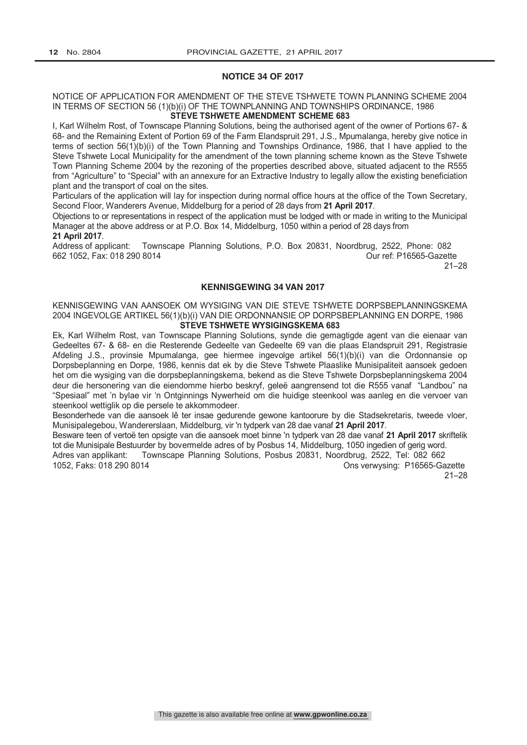#### **NOTICE 34 OF 2017**

#### NOTICE OF APPLICATION FOR AMENDMENT OF THE STEVE TSHWETE TOWN PLANNING SCHEME 2004 IN TERMS OF SECTION 56 (1)(b)(i) OF THE TOWNPLANNING AND TOWNSHIPS ORDINANCE, 1986 **STEVE TSHWETE AMENDMENT SCHEME 683**

I, Karl Wilhelm Rost, of Townscape Planning Solutions, being the authorised agent of the owner of Portions 67- & 68- and the Remaining Extent of Portion 69 of the Farm Elandspruit 291, J.S., Mpumalanga, hereby give notice in terms of section 56(1)(b)(i) of the Town Planning and Townships Ordinance, 1986, that I have applied to the Steve Tshwete Local Municipality for the amendment of the town planning scheme known as the Steve Tshwete Town Planning Scheme 2004 by the rezoning of the properties described above, situated adjacent to the R555 from "Agriculture" to "Special" with an annexure for an Extractive Industry to legally allow the existing beneficiation plant and the transport of coal on the sites.

Particulars of the application will lay for inspection during normal office hours at the office of the Town Secretary, Second Floor, Wanderers Avenue, Middelburg for a period of 28 days from **21 April 2017**.

Objections to or representations in respect of the application must be lodged with or made in writing to the Municipal Manager at the above address or at P.O. Box 14, Middelburg, 1050 within a period of 28 days from

**21 April 2017**. Townscape Planning Solutions, P.O. Box 20831, Noordbrug, 2522, Phone: 082<br>8014 Our ref: P16565-Gazette 662 1052, Fax: 018 290 8014

21–28

#### **KENNISGEWING 34 VAN 2017**

KENNISGEWING VAN AANSOEK OM WYSIGING VAN DIE STEVE TSHWETE DORPSBEPLANNINGSKEMA 2004 INGEVOLGE ARTIKEL 56(1)(b)(i) VAN DIE ORDONNANSIE OP DORPSBEPLANNING EN DORPE, 1986 **STEVE TSHWETE WYSIGINGSKEMA 683**

Ek, Karl Wilhelm Rost, van Townscape Planning Solutions, synde die gemagtigde agent van die eienaar van Gedeeltes 67- & 68- en die Resterende Gedeelte van Gedeelte 69 van die plaas Elandspruit 291, Registrasie Afdeling J.S., provinsie Mpumalanga, gee hiermee ingevolge artikel 56(1)(b)(i) van die Ordonnansie op Dorpsbeplanning en Dorpe, 1986, kennis dat ek by die Steve Tshwete Plaaslike Munisipaliteit aansoek gedoen het om die wysiging van die dorpsbeplanningskema, bekend as die Steve Tshwete Dorpsbeplanningskema 2004 deur die hersonering van die eiendomme hierbo beskryf, geleë aangrensend tot die R555 vanaf "Landbou" na "Spesiaal" met 'n bylae vir 'n Ontginnings Nywerheid om die huidige steenkool was aanleg en die vervoer van steenkool wettiglik op die persele te akkommodeer.

Besonderhede van die aansoek lê ter insae gedurende gewone kantoorure by die Stadsekretaris, tweede vloer, Munisipalegebou, Wandererslaan, Middelburg, vir 'n tydperk van 28 dae vanaf **21 April 2017**.

Besware teen of vertoë ten opsigte van die aansoek moet binne 'n tydperk van 28 dae vanaf **21 April 2017** skriftelik tot die Munisipale Bestuurder by bovermelde adres of by Posbus 14, Middelburg, 1050 ingedien of gerig word. Adres van applikant: Townscape Planning Solutions, Posbus 20831, Noordbrug, 2522, Tel: 082 662 Ons verwysing: P16565-Gazette

21–28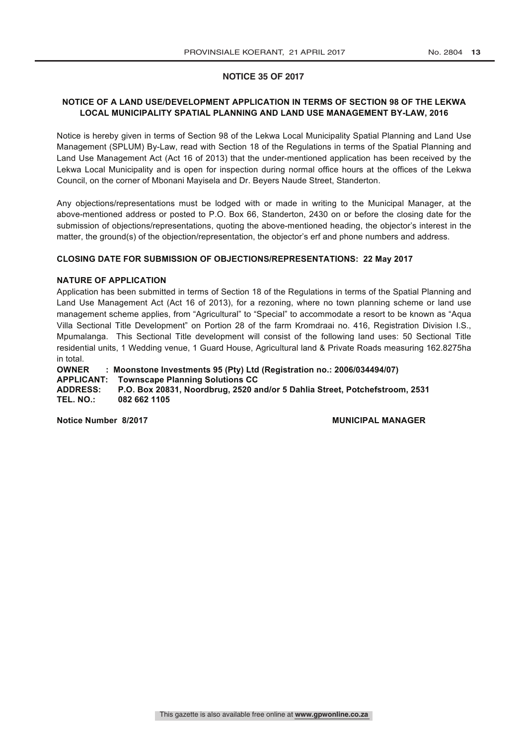#### **NOTICE 35 OF 2017**

## **NOTICE OF A LAND USE/DEVELOPMENT APPLICATION IN TERMS OF SECTION 98 OF THE LEKWA LOCAL MUNICIPALITY SPATIAL PLANNING AND LAND USE MANAGEMENT BY-LAW, 2016**

Notice is hereby given in terms of Section 98 of the Lekwa Local Municipality Spatial Planning and Land Use Management (SPLUM) By-Law, read with Section 18 of the Regulations in terms of the Spatial Planning and Land Use Management Act (Act 16 of 2013) that the under-mentioned application has been received by the Lekwa Local Municipality and is open for inspection during normal office hours at the offices of the Lekwa Council, on the corner of Mbonani Mayisela and Dr. Beyers Naude Street, Standerton.

Any objections/representations must be lodged with or made in writing to the Municipal Manager, at the above-mentioned address or posted to P.O. Box 66, Standerton, 2430 on or before the closing date for the submission of objections/representations, quoting the above-mentioned heading, the objector's interest in the matter, the ground(s) of the objection/representation, the objector's erf and phone numbers and address.

#### **CLOSING DATE FOR SUBMISSION OF OBJECTIONS/REPRESENTATIONS: 22 May 2017**

#### **NATURE OF APPLICATION**

Application has been submitted in terms of Section 18 of the Regulations in terms of the Spatial Planning and Land Use Management Act (Act 16 of 2013), for a rezoning, where no town planning scheme or land use management scheme applies, from "Agricultural" to "Special" to accommodate a resort to be known as "Aqua Villa Sectional Title Development" on Portion 28 of the farm Kromdraai no. 416, Registration Division I.S., Mpumalanga. This Sectional Title development will consist of the following land uses: 50 Sectional Title residential units, 1 Wedding venue, 1 Guard House, Agricultural land & Private Roads measuring 162.8275ha in total.

**OWNER : Moonstone Investments 95 (Pty) Ltd (Registration no.: 2006/034494/07) APPLICANT: Townscape Planning Solutions CC ADDRESS: P.O. Box 20831, Noordbrug, 2520 and/or 5 Dahlia Street, Potchefstroom, 2531 TEL. NO.: 082 662 1105**

**Notice Number 8/2017 MUNICIPAL MANAGER**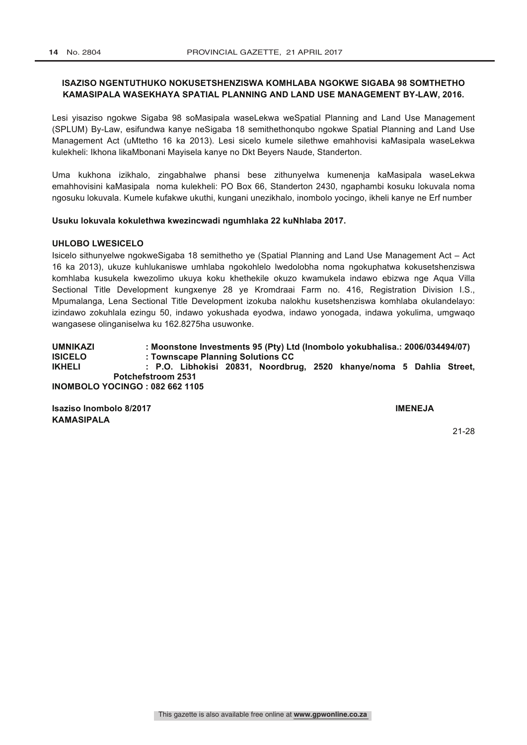## **ISAZISO NGENTUTHUKO NOKUSETSHENZISWA KOMHLABA NGOKWE SIGABA 98 SOMTHETHO KAMASIPALA WASEKHAYA SPATIAL PLANNING AND LAND USE MANAGEMENT BY-LAW, 2016.**

Lesi yisaziso ngokwe Sigaba 98 soMasipala waseLekwa weSpatial Planning and Land Use Management (SPLUM) By-Law, esifundwa kanye neSigaba 18 semithethonqubo ngokwe Spatial Planning and Land Use Management Act (uMtetho 16 ka 2013). Lesi sicelo kumele silethwe emahhovisi kaMasipala waseLekwa kulekheli: Ikhona likaMbonani Mayisela kanye no Dkt Beyers Naude, Standerton.

Uma kukhona izikhalo, zingabhalwe phansi bese zithunyelwa kumenenja kaMasipala waseLekwa emahhovisini kaMasipala noma kulekheli: PO Box 66, Standerton 2430, ngaphambi kosuku lokuvala noma ngosuku lokuvala. Kumele kufakwe ukuthi, kungani unezikhalo, inombolo yocingo, ikheli kanye ne Erf number

#### **Usuku lokuvala kokulethwa kwezincwadi ngumhlaka 22 kuNhlaba 2017.**

#### **UHLOBO LWESICELO**

Isicelo sithunyelwe ngokweSigaba 18 semithetho ye (Spatial Planning and Land Use Management Act – Act 16 ka 2013), ukuze kuhlukaniswe umhlaba ngokohlelo lwedolobha noma ngokuphatwa kokusetshenziswa komhlaba kusukela kwezolimo ukuya koku khethekile okuzo kwamukela indawo ebizwa nge Aqua Villa Sectional Title Development kungxenye 28 ye Kromdraai Farm no. 416, Registration Division I.S., Mpumalanga, Lena Sectional Title Development izokuba nalokhu kusetshenziswa komhlaba okulandelayo: izindawo zokuhlala ezingu 50, indawo yokushada eyodwa, indawo yonogada, indawa yokulima, umgwaqo wangasese olinganiselwa ku 162.8275ha usuwonke.

UMNIKAZI : Moonstone Investments 95 (Pty) Ltd (Inombolo yokubhalisa.: 2006/034494/07)<br>ISICELO : Townscape Planning Solutions CC **ISICELO : Townscape Planning Solutions CC IKHELI : P.O. Libhokisi 20831, Noordbrug, 2520 khanye/noma 5 Dahlia Street, Potchefstroom 2531 INOMBOLO YOCINGO : 082 662 1105**

**Isaziso Inombolo 8/2017 IMENEJA KAMASIPALA**

21-28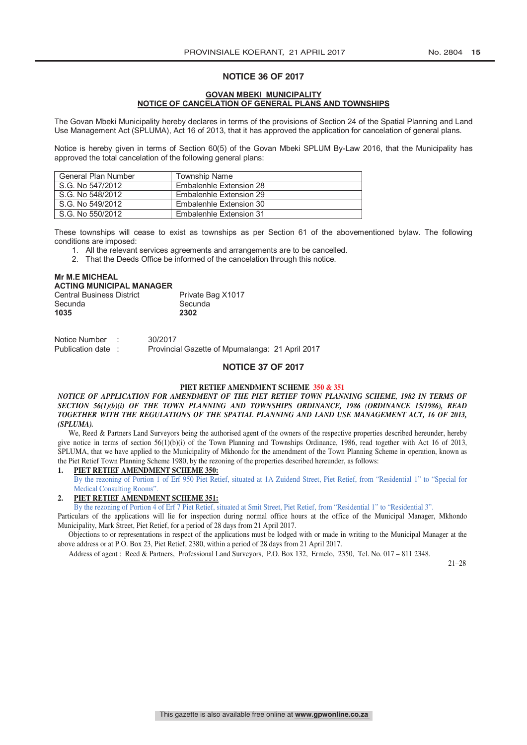#### **NOTICE 36 OF 2017**

#### **GOVAN MBEKI MUNICIPALITY NOTICE OF CANCELATION OF GENERAL PLANS AND TOWNSHIPS**

The Govan Mbeki Municipality hereby declares in terms of the provisions of Section 24 of the Spatial Planning and Land Use Management Act (SPLUMA), Act 16 of 2013, that it has approved the application for cancelation of general plans.

Notice is hereby given in terms of Section 60(5) of the Govan Mbeki SPLUM By-Law 2016, that the Municipality has approved the total cancelation of the following general plans:

| General Plan Number | <b>Township Name</b>    |
|---------------------|-------------------------|
| S.G. No 547/2012    | Embalenhie Extension 28 |
| S.G. No 548/2012    | Embalenhie Extension 29 |
| S.G. No 549/2012    | Embalenhie Extension 30 |
| S.G. No 550/2012    | Embalenhie Extension 31 |

These townships will cease to exist as townships as per Section 61 of the abovementioned bylaw. The following conditions are imposed:

1. All the relevant services agreements and arrangements are to be cancelled.

2. That the Deeds Office be informed of the cancelation through this notice.

## **Mr M.E MICHEAL ACTING MUNICIPAL MANAGER**

| <b>Central Business District</b> | Private Bag X1017 |
|----------------------------------|-------------------|
| Secunda                          | Secunda           |
| 1035                             | 2302              |

Notice Number : 30/2017<br>Publication date : Provincia Provincial Gazette of Mpumalanga: 21 April 2017

#### **NOTICE 37 OF 2017**

#### **PIET RETIEF AMENDMENT SCHEME 350 & 351**

#### *NOTICE OF APPLICATION FOR AMENDMENT OF THE PIET RETIEF TOWN PLANNING SCHEME, 1982 IN TERMS OF SECTION 56(1)(b)(i) OF THE TOWN PLANNING AND TOWNSHIPS ORDINANCE, 1986 (ORDINANCE 15/1986), READ TOGETHER WITH THE REGULATIONS OF THE SPATIAL PLANNING AND LAND USE MANAGEMENT ACT, 16 OF 2013, (SPLUMA).*

We, Reed & Partners Land Surveyors being the authorised agent of the owners of the respective properties described hereunder, hereby give notice in terms of section 56(1)(b)(i) of the Town Planning and Townships Ordinance, 1986, read together with Act 16 of 2013, SPLUMA, that we have applied to the Municipality of Mkhondo for the amendment of the Town Planning Scheme in operation, known as the Piet Retief Town Planning Scheme 1980, by the rezoning of the properties described hereunder, as follows:

#### **1. PIET RETIEF AMENDMENT SCHEME 350:**

By the rezoning of Portion 1 of Erf 950 Piet Retief, situated at 1A Zuidend Street, Piet Retief, from "Residential 1" to "Special for Medical Consulting Rooms".

#### **2. PIET RETIEF AMENDMENT SCHEME 351:**

By the rezoning of Portion 4 of Erf 7 Piet Retief, situated at Smit Street, Piet Retief, from "Residential 1" to "Residential 3".

Particulars of the applications will lie for inspection during normal office hours at the office of the Municipal Manager, Mkhondo Municipality, Mark Street, Piet Retief, for a period of 28 days from 21 April 2017.

Objections to or representations in respect of the applications must be lodged with or made in writing to the Municipal Manager at the above address or at P.O. Box 23, Piet Retief, 2380, within a period of 28 days from 21 April 2017.

Address of agent : Reed & Partners, Professional Land Surveyors, P.O. Box 132, Ermelo, 2350, Tel. No. 017 – 811 2348.

21–28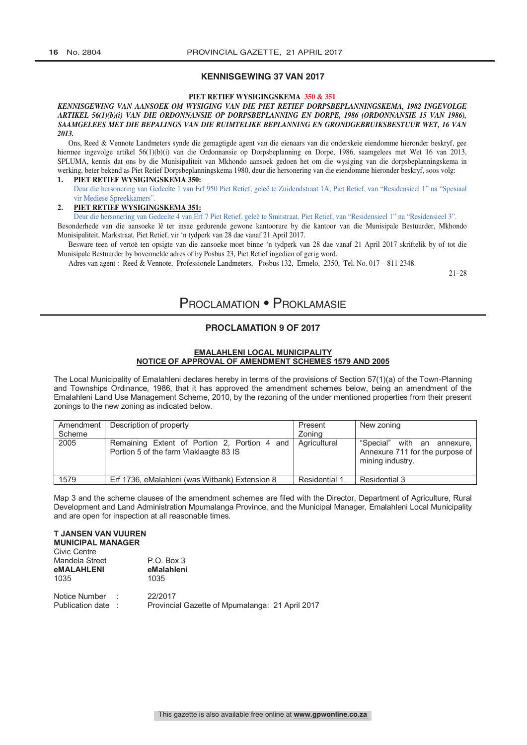#### **KENNISGEWING 37 VAN 2017**

#### **PIET RETIEF WYSIGINGSKEMA 350 & 351**

#### *KENNISGEWING VAN AANSOEK OM WYSIGING VAN DIE PIET RETIEF DORPSBEPLANNINGSKEMA, 1982 INGEVOLGE ARTIKEL 56(1)(b)(i) VAN DIE ORDONNANSIE OP DORPSBEPLANNING EN DORPE, 1986 (ORDONNANSIE 15 VAN 1986), SAAMGELEES MET DIE BEPALINGS VAN DIE RUIMTELIKE BEPLANNING EN GRONDGEBRUIKSBESTUUR WET, 16 VAN 2013.*

Ons, Reed & Vennote Landmeters synde die gemagtigde agent van die eienaars van die onderskeie eiendomme hieronder beskryf, gee hiermee ingevolge artikel 56(1)(b)(i) van die Ordonnansie op Dorpsbeplanning en Dorpe, 1986, saamgelees met Wet 16 van 2013, SPLUMA, kennis dat ons by die Munisipaliteit van Mkhondo aansoek gedoen het om die wysiging van die dorpsbeplanningskema in werking, beter bekend as Piet Retief Dorpsbeplanningskema 1980, deur die hersonering van die eiendomme hieronder beskryf, soos volg:

#### **1. PIET RETIEF WYSIGINGSKEMA 350:**

Deur die hersonering van Gedeelte 1 van Erf 950 Piet Retief, geleë te Zuidendstraat 1A, Piet Retief, van "Residensieel 1" na "Spesiaal vir Mediese Spreekkamers".

#### **2. PIET RETIEF WYSIGINGSKEMA 351:**

Deur die hersonering van Gedeelte 4 van Erf 7 Piet Retief, geleë te Smitstraat, Piet Retief, van "Residensieel 1" na "Residensieel 3".

- Besonderhede van die aansoeke lê ter insae gedurende gewone kantoorure by die kantoor van die Munisipale Bestuurder, Mkhondo Munisipaliteit, Markstraat, Piet Retief, vir 'n tydperk van 28 dae vanaf 21 April 2017.
- Besware teen of vertoë ten opsigte van die aansoeke moet binne 'n tydperk van 28 dae vanaf 21 April 2017 skriftelik by of tot die Munisipale Bestuurder by bovermelde adres of by Posbus 23, Piet Retief ingedien of gerig word.

Adres van agent : Reed & Vennote, Professionele Landmeters, Posbus 132, Ermelo, 2350, Tel. No. 017 – 811 2348.

21–28

## Proclamation • Proklamasie

#### **PROCLAMATION 9 OF 2017**

#### **EMALAHLENI LOCAL MUNICIPALITY NOTICE OF APPROVAL OF AMENDMENT SCHEMES 1579 AND 2005**

The Local Municipality of Emalahleni declares hereby in terms of the provisions of Section 57(1)(a) of the Town-Planning and Townships Ordinance, 1986, that it has approved the amendment schemes below, being an amendment of the Emalahleni Land Use Management Scheme, 2010, by the rezoning of the under mentioned properties from their present zonings to the new zoning as indicated below.

| Amendment<br>Scheme | Description of property                                                                             | Present<br>Zonina    | New zoning                                                                         |
|---------------------|-----------------------------------------------------------------------------------------------------|----------------------|------------------------------------------------------------------------------------|
| 2005                | Remaining Extent of Portion 2, Portion 4 and Agricultural<br>Portion 5 of the farm Vlaklaagte 83 IS |                      | "Special" with an annexure,<br>Annexure 711 for the purpose of<br>mining industry. |
| 1579                | Erf 1736, eMalahleni (was Witbank) Extension 8                                                      | <b>Residential 1</b> | Residential 3                                                                      |

Map 3 and the scheme clauses of the amendment schemes are filed with the Director, Department of Agriculture, Rural Development and Land Administration Mpumalanga Province, and the Municipal Manager, Emalahleni Local Municipality and are open for inspection at all reasonable times.

#### **T JANSEN VAN VUUREN**

**MUNICIPAL MANAGER**

| Civic Centre<br>Mandela Street<br><b>eMALAHLENI</b><br>1035 |  | $P.O.$ Box 3<br>eMalahleni<br>1035                         |  |
|-------------------------------------------------------------|--|------------------------------------------------------------|--|
| Notice Number<br>Publication date:                          |  | 22/2017<br>Provincial Gazette of Mpumalanga: 21 April 2017 |  |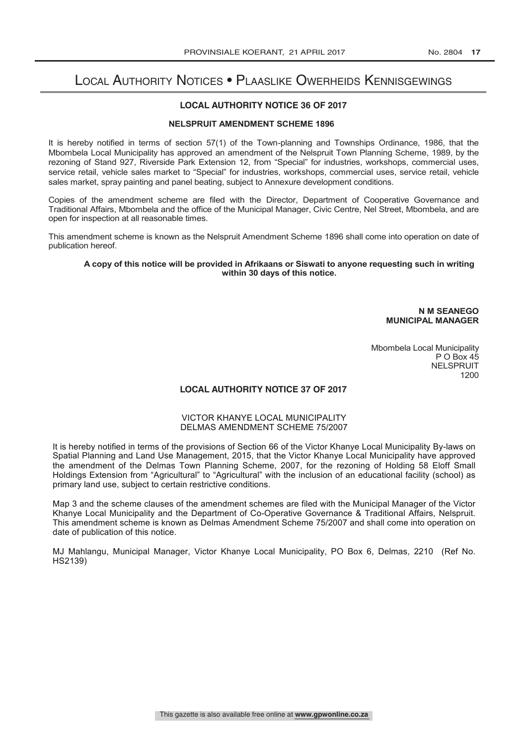## Local Authority Notices • Plaaslike Owerheids Kennisgewings

## **LOCAL AUTHORITY NOTICE 36 OF 2017 LOCAL AUTHORITY NOTICE**

#### **NELSPRUIT AMENDMENT SCHEME 1896**

It is hereby notified in terms of section 57(1) of the Town-planning and Townships Ordinance, 1986, that the Mbombela Local Municipality has approved an amendment of the Nelspruit Town Planning Scheme, 1989, by the rezoning of Stand 927, Riverside Park Extension 12, from "Special" for industries, workshops, commercial uses, service retail, vehicle sales market to "Special" for industries, workshops, commercial uses, service retail, vehicle sales market, spray painting and panel beating, subject to Annexure development conditions.

Copies of the amendment scheme are filed with the Director, Department of Cooperative Governance and Traditional Affairs, Mbombela and the office of the Municipal Manager, Civic Centre, Nel Street, Mbombela, and are open for inspection at all reasonable times.

This amendment scheme is known as the Nelspruit Amendment Scheme 1896 shall come into operation on date of publication hereof.

#### **A copy of this notice will be provided in Afrikaans or Siswati to anyone requesting such in writing within 30 days of this notice.**

**N M SEANEGO MUNICIPAL MANAGER**

Mbombela Local Municipality P O Box 45 NELSPRUIT 1200

### **LOCAL AUTHORITY NOTICE 37 OF 2017**

#### VICTOR KHANYE LOCAL MUNICIPALITY DELMAS AMENDMENT SCHEME 75/2007

It is hereby notified in terms of the provisions of Section 66 of the Victor Khanye Local Municipality By-laws on Spatial Planning and Land Use Management, 2015, that the Victor Khanye Local Municipality have approved the amendment of the Delmas Town Planning Scheme, 2007, for the rezoning of Holding 58 Eloff Small Holdings Extension from "Agricultural" to "Agricultural" with the inclusion of an educational facility (school) as primary land use, subject to certain restrictive conditions.

Map 3 and the scheme clauses of the amendment schemes are filed with the Municipal Manager of the Victor Khanye Local Municipality and the Department of Co-Operative Governance & Traditional Affairs, Nelspruit. This amendment scheme is known as Delmas Amendment Scheme 75/2007 and shall come into operation on date of publication of this notice.

MJ Mahlangu, Municipal Manager, Victor Khanye Local Municipality, PO Box 6, Delmas, 2210 (Ref No. HS2139)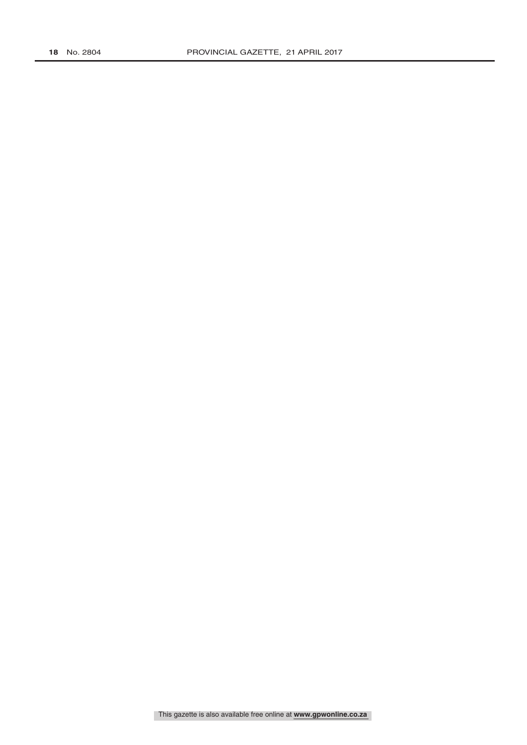This gazette is also available free online at **www.gpwonline.co.za**